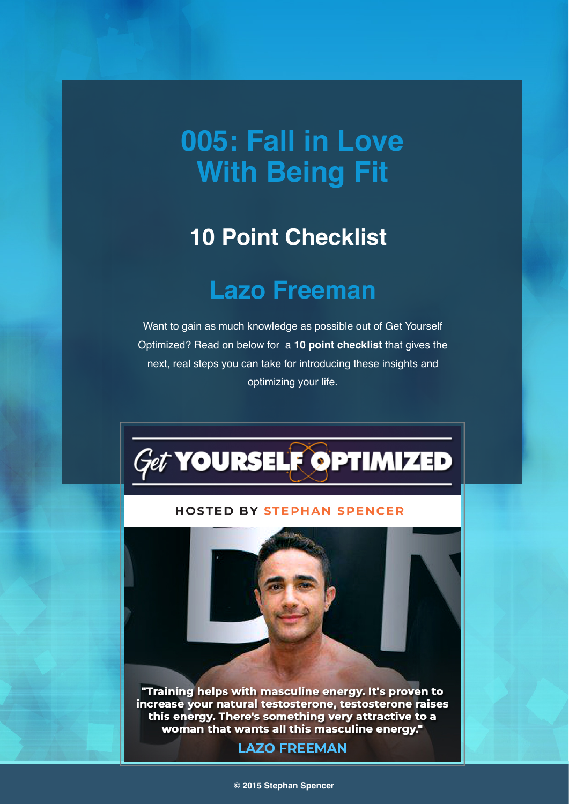# **005: Fall in Love With Being Fit**

## **10 Point Checklist**

## **Lazo Freeman**

Want to gain as much knowledge as possible out of Get Yourself Optimized? Read on below for a **10 point checklist** that gives the next, real steps you can take for introducing these insights and optimizing your life.



#### **HOSTED BY STEPHAN SPENCER**

"Training helps with masculine energy. It's proven to increase your natural testosterone, testosterone raises this energy. There's something very attractive to a woman that wants all this masculine energy."

### **LAZO FREEMAN**